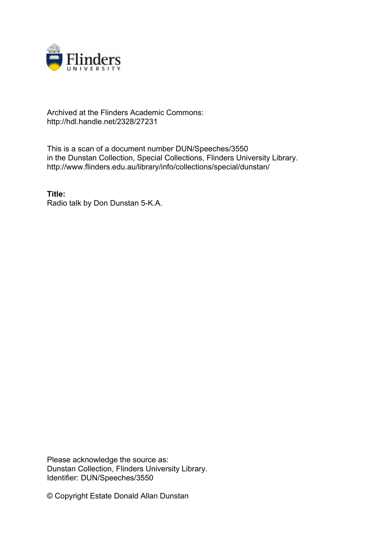

## Archived at the Flinders Academic Commons: http://hdl.handle.net/2328/27231

This is a scan of a document number DUN/Speeches/3550 in the Dunstan Collection, Special Collections, Flinders University Library. http://www.flinders.edu.au/library/info/collections/special/dunstan/

**Title:** Radio talk by Don Dunstan 5-K.A.

Please acknowledge the source as: Dunstan Collection, Flinders University Library. Identifier: DUN/Speeches/3550

© Copyright Estate Donald Allan Dunstan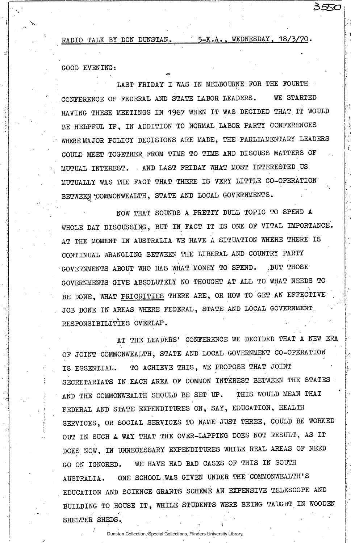RADIO TALK BY DON DUNSTAN. 5-K.A., WEDNESDAY, 18/3/70.

3550

**GOOD EVENING:** 

 $\mathbf{e}$ 

**LAST FRIDAY I WAS IN MELBOURNE FOR THE FOURTH CONFERENCE OF FEDERAL AND STATE LABOR LEADERS. WE STARTED HAVING THESE MEETINGS IN 1967 WHEN IT WAS DECIDED THAT. IT WOULD BE HELPFUL IF, IN ADDITION TO NORMAL LABOR PARTY CONFERENCES WHERE MAJOR POLICY DECISIONS ARE MADE, THE PARLIAMENTARY LEADERS COULD MEET TOGETHER FROM TIME TO TIME AND DISCUSS MATTERS OF MUTUAL INTEREST. . AND LAST FRIDAY WHAT MOST INTERESTED US MUTUALLY WAS THE FACT THAT THERE IS VERY LITTLE CO-OPERATION BETWEEN 'COMMONWEALTH, STATE AND LOCAL GOVERNMENTS.** 

**NOW THAT SOUNDS A PRETTY DULL TOPIC TO SPEND A WHOLE DAY DISCUSSING, BUT IN FACT IT IS ONE OF VITAL IMPORTANCE. AT THE MOMENT IN AUSTRALIA WE HAVE A SITUATION WHERE THERE IS CONTINUAL WRANGLING BETWEEN THE LIBERAL AND COUNTRY PARTY GOVERNMENTS ABOUT WHO HAS WHAT MONEY TO SPEND. ,BUT THOSE GOVERNMENTS GIVE ABSOLUTELY NO THOUGHT AT ALL TO WHAT NEEDS TO**  BE DONE, WHAT PRIORITIES THERE ARE, OR HOW TO GET AN EFFECTIVE **JOB DONE IN AREAS WHERE FEDERAL, STATE AND LOCAL GOVERNMENT. RESPONSIBILITIES OVERLAP.** 

**AT THE LEADERS' CONFERENCE WE DECIDED THAT A NEW ERA OF JOINT COMMONWEALTH, STATE AND LOCAL GOVERNMENT CO-OPERATION IS ESSENTIAL. TO ACHIEVE THIS, WE PROPOSE THAT JOINT**  SECRETARIATS IN EACH AREA OF COMMON INTEREST BETWEEN THE STATES **AND THE COMMONWEALTH SHOULD BE SET UP. THIS WOULD MEAN THAT FEDERAL AND STATE EXPENDITURES ON, SAY, EDUCATION, HEALTH SERVICES, OR SOCIAL SERVICES TO NAME JUST THREE, COULD BE WORKED OUT IN SUCH A WAY THAT THE OVER-LAPPING DOES NOT RESULT, AS IT DOES NOW, IN UNNECESSARY EXPENDITURES WHILE REAL AREAS OF NEED GO ON IGNORED. WE HAVE HAD BAD CASES OF THIS IN SOUTH AUSTRALIA. ONE SCHOOL,WAS GIVEN UNDER THE COMMONWEALTH'S EDUCATION AND SCIENCE GRANTS SCHEME AN EXPENSIVE TELESCOPE AND BUILDING TO HOUSE IT, WHILE STUDENTS WERE BEING TAUGHT IN WOODEN**  SHELTER SHEDS.

Dunstan Collection, Special Collections, Flinders University Library.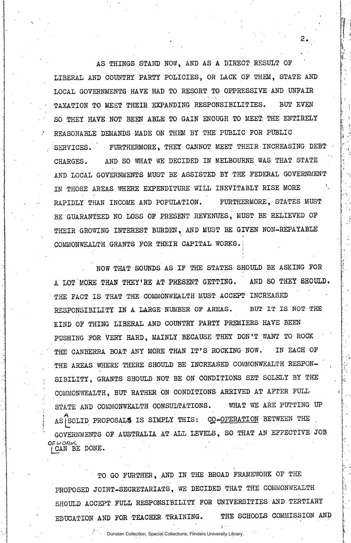**AS THINGS STAND NOW, AND AS A DIRECT RESULT OF LIBERAL AND COUNTRY PARTY POLICIES, OR LACK OF THEM, STATE AND LOCAL GOVERNMENTS HAVE HAD TO RESORT TO OPPRESSIVE AND UNFAIR TAXATION TO MEET THEIR EXPANDING RESPONSIBILITIES. BUT EVEN SO THEY HAVE NOT BEEN ABLE TO GAIN ENOUGH TO MEET THE ENTIRELY REASONABLE DEMANDS MADE ON THEM BY THE PUBLIC FOR PUBLIC SERVICES. ' FURTHERMORE, THEY CANNOT MEET THEIR INCREASING DEBT CHARGES. AND SO WHAT WE DECIDED IN MELBOURNE WAS THAT STATE AND LOCAL GOVERNMENTS MUST BE ASSISTED BY THE FEDERAL GOVERNMENT IN THOSE AREAS WHERE EXPENDITURE WILL INEVITABLY RISE MORE RAPIDLY THAN INCOME AND POPULATION. FURTHERMORE, STATES MUST BE GUARANTEED NO LOSS OF PRESENT REVENUES, MUST BE RELIEVED OF THEIR GROWING INTEREST BURDEN, AND MUST BE GIVEN NON-REPAYABLE COMMONWEALTH GRANTS FOR THEIR CAPITAL WORKS.;** 

**i** 

**NOW THAT SOUNDS AS IF THE STATES SHOULD BE ASKING FOR**  A LOT MORE THAN THEY'RE AT PRESENT GETTING. AND SO THEY SHOULD. **THE FACT IS THAT THE COMMONWEALTH MUST ACCEPT INCREASED RESPONSIBILITY IN A LARGE NUMBER OF AREAS. BUT IT IS NOT THE KIND OF THING LIBERAL AND COUNTRY PARTY PREMIERS HAVE BEEN PUSHING FOR VERY. HARD, MAINLY BECAUSE THEY DON'T WANT TO ROCK**  THE CANBERRA BOAT ANY MORE THAN IT'S ROCKING NOW. IN EACH OF THE AREAS WHERE THERE SHOULD BE INCREASED COMMONWEALTH RESPON-**SIBILITY, GRANTS SHOULD NOT BE ON CONDITIONS SET SOLELY BY THE COMMONWEALTH, BUT RATHER ON CONDITIONS ARRIVED AT AFTER FULL**  STATE AND COMMONWEALTH CONSULTATIONS. WHAT WE ARE PUTTING UP AS<sup>'</sup>SOLID PROPOSALS IS SIMPLY THIS: CO-OPERATION BETWEEN THE **GOVERNMENTS OF AUSTRALIA AT ALL LEVELS, SO THAT AN EFFECTIVE JOB**  *Ofi*  **j\_CAN BE DONE.** 

**TO GO FURTHER, AND IN THE BROAD FRAMEWORK OF THE PROPOSED JOINT-SECRETARIATS, WE DECIDED THAT THE COMMONWEALTH SHOULD ACCEPT FULL RESPONSIBILITY FOR UNIVERSITIES AND TERTIARY EDUCATION AND FOR TEACHER TRAINING. THE SCHOOLS COMMISSION AND** 

 $\mathbf{i}$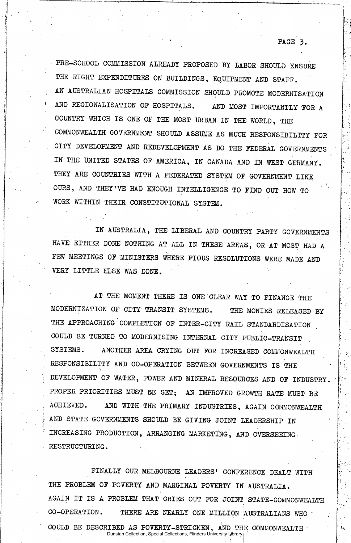**PRE-SCHOOL COMMISSION ALREADY PROPOSED BY LABOR SHOULD ENSURE THE RIGHT EXPENDITURES ON BUILDINGS, EQUIPMENT AND STAFF. AN AUSTRALIAN HOSPITALS COMMISSION SHOULD PROMOTE MODERNISATION AND REGIONALISATION OF HOSPITALS. AND MOST IMPORTANTLY FOR A COUNTRY WHICH IS ONE OF THE MOST URBAN IN THE WORLD, THE COMMONWEALTH GOVERNMENT SHOULD ASSUME AS MUCH RESPONSIBILITY FOR . CITY DEVELOPMENT AND REDEVELOPMENT AS DO THE FEDERAL GOVERNMENTS IN THE UNITED STATES OF AMERICA, IN CANADA AND IN WEST GERMANY. THEY ARE COUNTRIES WITH A FEDERATED SYSTEM OF GOVERNMENT LIKE OURS, AND THEY'VE HAD ENOUGH INTELLIGENCE TO FIND OUT HOW TO WORK WITHIN THEIR CONSTITUTIONAL SYSTEM.** 

**" PAGE 3.** 

**IN AUSTRALIA, THE LIBERAL AND COUNTRY PARTY GOVERNMENTS HAVE EITHER DONE NOTHING AT ALL IN THESE AREAS, OR AT MOST HAD A FEW MEETINGS OF MINISTERS WHERE PIOUS RESOLUTIONS WERE MADE AND VERY LITTLE ELSE WAS DONE. 1** 

**AT THE MOMENT THERE IS ONE CLEAR WAY TO FINANCE THE MODERNIZATION OF CITY TRANSIT SYSTEMS. THE MONIES RELEASED BY THE APPROACHING COMPLETION OF INTER-CITY RAIL STANDARDISATION COULD BE TURNED TO MODERNISING INTERNAL CITY PUBLIC-TRANSIT SYSTEMS. ANOTHER AREA CRYING OUT FOR INCREASED COMMONWEALTH RESPONSIBILITY AND CO-OPERATION BETWEEN GOVERNMENTS IS THE**  DEVELOPMENT OF WATER, POWER AND MINERAL RESOURCES AND OF INDUSTRY. **PROPER PRIORITIES MUST BE SET; AN IMPROVED GROWTH RATE MUST BE ACHIEVED. AND WITH THE PRIMARY INDUSTRIES, AGAIN COMMONWEALTH AND STATE GOVERNMENTS SHOULD BE GIVING JOINT LEADERSHIP IN INCREASING PRODUCTION, ARRANGING MARKETING, AND OVERSEEING RESTRUCTURING.** 

FINALLY OUR MELBOURNE LEADERS' CONFERENCE DEALT WITH **THE PROBLEM OF POVERTY AND MARGINAL POVERTY IN AUSTRALIA. AGAIN IT IS A PROBLEM THAT CRIES OUT FOR JOINT STATE-COMMONWEALTH**  CO-OPERATION. THERE ARE NEARLY ONE MILLION AUSTRALIANS WHO **COULD BE DESCRIBED AS POVERTY-STRICKEN, AOT THE COMMONWEALTH**  Dunstan Collection, Special Collections, Flinders University Library.